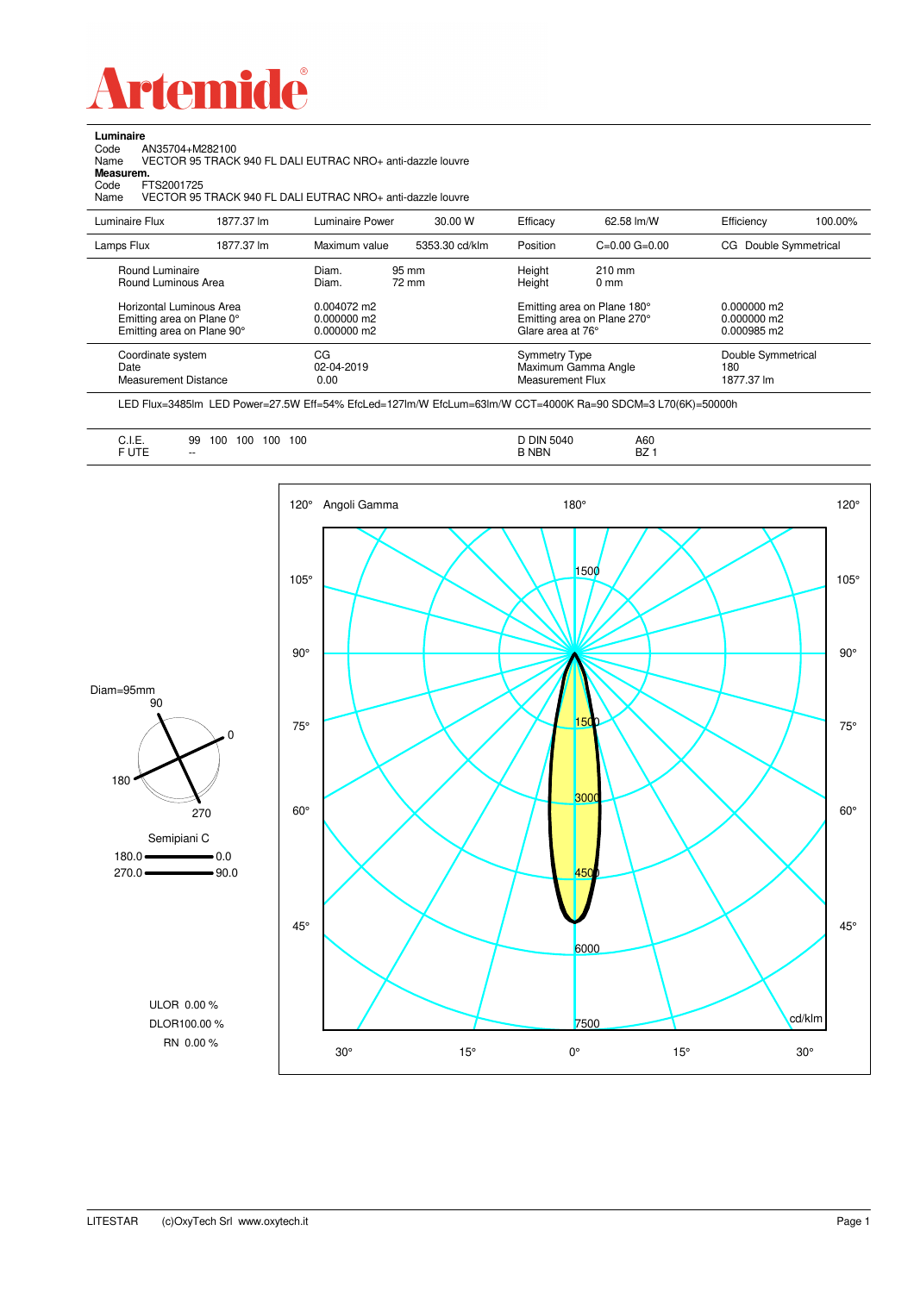

Code AN35704+M282100 Name VECTOR 95 TRACK 940 FL DALI EUTRAC NRO+ anti-dazzle louvre

**Luminaire**<br>Code /<br>Name \

| Measurem.<br>Code<br>FTS2001725<br>Name                                                                                       |            | VECTOR 95 TRACK 940 FL DALI EUTRAC NRO+ anti-dazzle louvre               |                |                                                 |                                                                                         |                                                        |         |
|-------------------------------------------------------------------------------------------------------------------------------|------------|--------------------------------------------------------------------------|----------------|-------------------------------------------------|-----------------------------------------------------------------------------------------|--------------------------------------------------------|---------|
| Luminaire Flux                                                                                                                | 1877.37 lm | Luminaire Power                                                          | 30.00 W        | Efficacy                                        | 62.58 lm/W                                                                              | Efficiency                                             | 100.00% |
| Lamps Flux                                                                                                                    | 1877.37 lm | Maximum value                                                            | 5353.30 cd/klm | Position                                        | $C=0.00$ $G=0.00$                                                                       | Double Symmetrical<br>CG                               |         |
| Round Luminaire<br>Round Luminous Area<br>Horizontal Luminous Area<br>Emitting area on Plane 0°<br>Emitting area on Plane 90° |            | Diam.<br>Diam.<br>$0.004072$ m2<br>$0.000000 \text{ m}$ 2<br>0.000000 m2 | 95 mm<br>72 mm | Height<br>Height<br>Glare area at 76°           | 210 mm<br>0 <sub>mm</sub><br>Emitting area on Plane 180°<br>Emitting area on Plane 270° | $0.000000$ m2<br>$0.000000 \text{ m}$ 2<br>0.000985 m2 |         |
| Coordinate system<br>Date<br><b>Measurement Distance</b>                                                                      |            | CG<br>02-04-2019<br>0.00                                                 |                | <b>Symmetry Type</b><br><b>Measurement Flux</b> | Maximum Gamma Angle                                                                     | Double Symmetrical<br>180<br>1877.37 lm                |         |

LED Flux=3485lm LED Power=27.5W Eff=54% EfcLed=127lm/W EfcLum=63lm/W CCT=4000K Ra=90 SDCM=3 L70(6K)=50000h